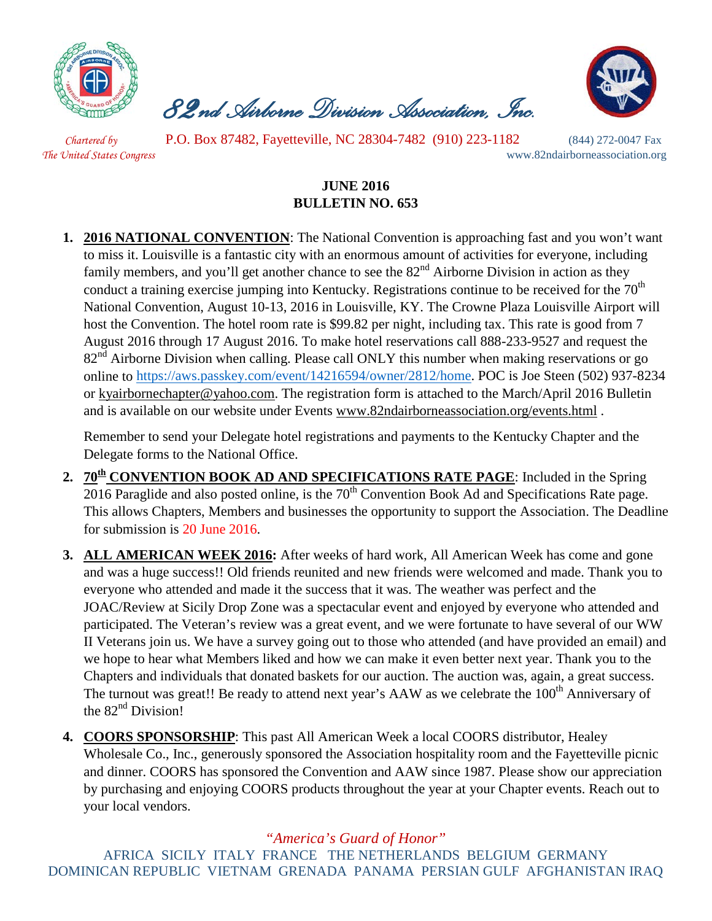

 *82nd Airborne Division Association, Inc.* 



*Chartered by* P.O. Box 87482, Fayetteville, NC 28304-7482 (910) 223-1182 (844) 272-0047 Fax *The United States Congress* www.82ndairborneassociation.org

## **JUNE 2016 BULLETIN NO. 653**

**1. 2016 NATIONAL CONVENTION**: The National Convention is approaching fast and you won't want to miss it. Louisville is a fantastic city with an enormous amount of activities for everyone, including family members, and you'll get another chance to see the  $82<sup>nd</sup>$  Airborne Division in action as they conduct a training exercise jumping into Kentucky. Registrations continue to be received for the  $70<sup>th</sup>$ National Convention, August 10-13, 2016 in Louisville, KY. The Crowne Plaza Louisville Airport will host the Convention. The hotel room rate is \$99.82 per night, including tax. This rate is good from 7 August 2016 through 17 August 2016. To make hotel reservations call 888-233-9527 and request the 82<sup>nd</sup> Airborne Division when calling. Please call ONLY this number when making reservations or go online to [https://aws.passkey.com/event/14216594/owner/2812/home.](https://aws.passkey.com/event/14216594/owner/2812/home) POC is Joe Steen (502) 937-8234 or [kyairbornechapter@yahoo.com.](mailto:kyairbornechapter@yahoo.com) The registration form is attached to the March/April 2016 Bulletin and is available on our website under Events [www.82ndairborneassociation.org/events.html](http://www.82ndairborneassociation.org/events.html) .

Remember to send your Delegate hotel registrations and payments to the Kentucky Chapter and the Delegate forms to the National Office.

- 2. **70<sup>th</sup> CONVENTION BOOK AD AND SPECIFICATIONS RATE PAGE:** Included in the Spring  $2016$  Paraglide and also posted online, is the 70<sup>th</sup> Convention Book Ad and Specifications Rate page. This allows Chapters, Members and businesses the opportunity to support the Association. The Deadline for submission is 20 June 2016.
- **3. ALL AMERICAN WEEK 2016:** After weeks of hard work, All American Week has come and gone and was a huge success!! Old friends reunited and new friends were welcomed and made. Thank you to everyone who attended and made it the success that it was. The weather was perfect and the JOAC/Review at Sicily Drop Zone was a spectacular event and enjoyed by everyone who attended and participated. The Veteran's review was a great event, and we were fortunate to have several of our WW II Veterans join us. We have a survey going out to those who attended (and have provided an email) and we hope to hear what Members liked and how we can make it even better next year. Thank you to the Chapters and individuals that donated baskets for our auction. The auction was, again, a great success. The turnout was great!! Be ready to attend next year's AAW as we celebrate the 100<sup>th</sup> Anniversary of the  $82<sup>nd</sup>$  Division!
- **4. COORS SPONSORSHIP**: This past All American Week a local COORS distributor, Healey Wholesale Co., Inc., generously sponsored the Association hospitality room and the Fayetteville picnic and dinner. COORS has sponsored the Convention and AAW since 1987. Please show our appreciation by purchasing and enjoying COORS products throughout the year at your Chapter events. Reach out to your local vendors.

## *"America's Guard of Honor"*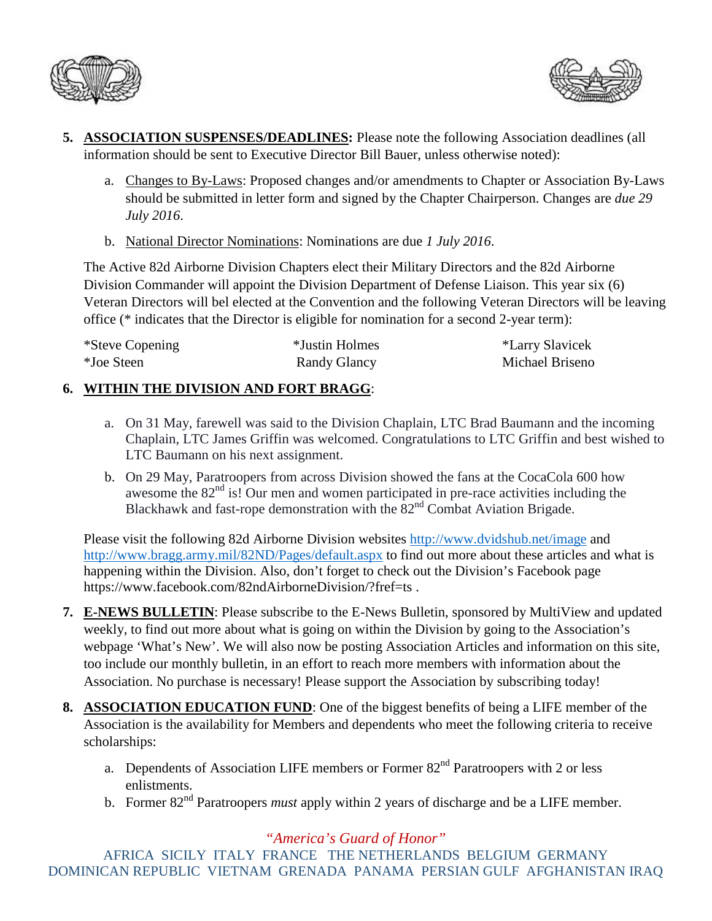



- **5. ASSOCIATION SUSPENSES/DEADLINES:** Please note the following Association deadlines (all information should be sent to Executive Director Bill Bauer, unless otherwise noted):
	- a. Changes to By-Laws: Proposed changes and/or amendments to Chapter or Association By-Laws should be submitted in letter form and signed by the Chapter Chairperson. Changes are *due 29 July 2016*.
	- b. National Director Nominations: Nominations are due *1 July 2016*.

The Active 82d Airborne Division Chapters elect their Military Directors and the 82d Airborne Division Commander will appoint the Division Department of Defense Liaison. This year six (6) Veteran Directors will bel elected at the Convention and the following Veteran Directors will be leaving office (\* indicates that the Director is eligible for nomination for a second 2-year term):

| *Steve Copening | *Justin Holmes | *Larry Slavicek |
|-----------------|----------------|-----------------|
| *Joe Steen      | Randy Glancy   | Michael Briseno |

## **6. WITHIN THE DIVISION AND FORT BRAGG**:

- a. On 31 May, farewell was said to the Division Chaplain, LTC Brad Baumann and the incoming Chaplain, LTC James Griffin was welcomed. Congratulations to LTC Griffin and best wished to LTC Baumann on his next assignment.
- b. On 29 May, Paratroopers from across Division showed the fans at the CocaCola 600 how awesome the  $82<sup>nd</sup>$  is! Our men and women participated in pre-race activities including the Blackhawk and fast-rope demonstration with the  $82<sup>nd</sup>$  Combat Aviation Brigade.

Please visit the following 82d Airborne Division websites<http://www.dvidshub.net/image> and <http://www.bragg.army.mil/82ND/Pages/default.aspx> to find out more about these articles and what is happening within the Division. Also, don't forget to check out the Division's Facebook page https://www.facebook.com/82ndAirborneDivision/?fref=ts.

- **7. E-NEWS BULLETIN**: Please subscribe to the E-News Bulletin, sponsored by MultiView and updated weekly, to find out more about what is going on within the Division by going to the Association's webpage 'What's New'. We will also now be posting Association Articles and information on this site, too include our monthly bulletin, in an effort to reach more members with information about the Association. No purchase is necessary! Please support the Association by subscribing today!
- **8. ASSOCIATION EDUCATION FUND**: One of the biggest benefits of being a LIFE member of the Association is the availability for Members and dependents who meet the following criteria to receive scholarships:
	- a. Dependents of Association LIFE members or Former  $82<sup>nd</sup>$  Paratroopers with 2 or less enlistments.
	- b. Former 82<sup>nd</sup> Paratroopers *must* apply within 2 years of discharge and be a LIFE member.

*"America's Guard of Honor"*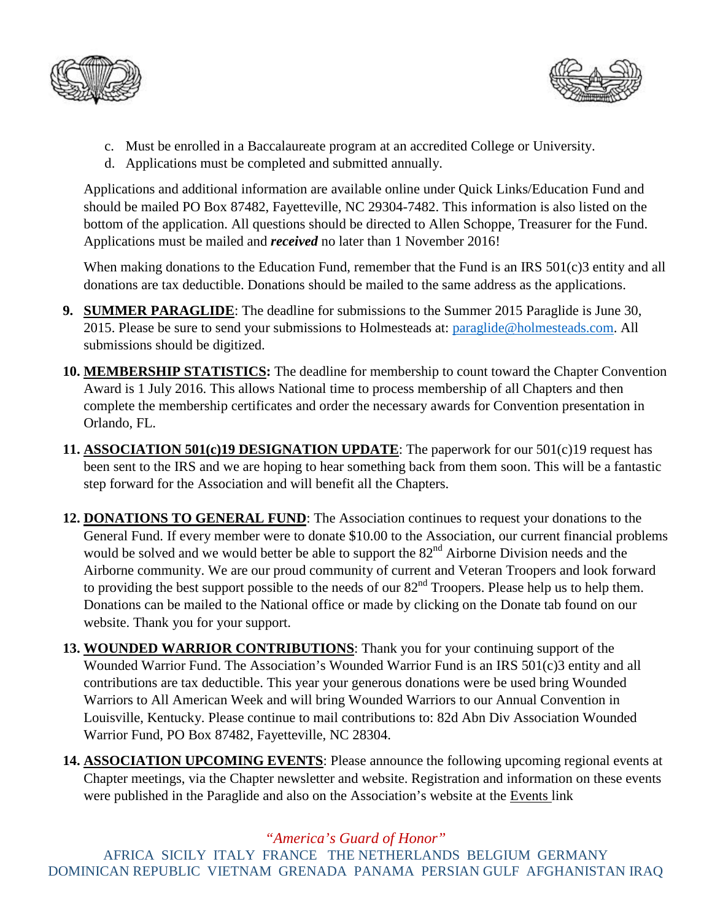



- c. Must be enrolled in a Baccalaureate program at an accredited College or University.
- d. Applications must be completed and submitted annually.

Applications and additional information are available online under Quick Links/Education Fund and should be mailed PO Box 87482, Fayetteville, NC 29304-7482. This information is also listed on the bottom of the application. All questions should be directed to Allen Schoppe, Treasurer for the Fund. Applications must be mailed and *received* no later than 1 November 2016!

When making donations to the Education Fund, remember that the Fund is an IRS 501(c)3 entity and all donations are tax deductible. Donations should be mailed to the same address as the applications.

- **9. SUMMER PARAGLIDE**: The deadline for submissions to the Summer 2015 Paraglide is June 30, 2015. Please be sure to send your submissions to Holmesteads at: [paraglide@holmesteads.com.](mailto:paraglide@holmesteads.com) All submissions should be digitized.
- **10. MEMBERSHIP STATISTICS:** The deadline for membership to count toward the Chapter Convention Award is 1 July 2016. This allows National time to process membership of all Chapters and then complete the membership certificates and order the necessary awards for Convention presentation in Orlando, FL.
- **11. ASSOCIATION 501(c)19 DESIGNATION UPDATE**: The paperwork for our 501(c)19 request has been sent to the IRS and we are hoping to hear something back from them soon. This will be a fantastic step forward for the Association and will benefit all the Chapters.
- **12. DONATIONS TO GENERAL FUND**: The Association continues to request your donations to the General Fund. If every member were to donate \$10.00 to the Association, our current financial problems would be solved and we would better be able to support the 82<sup>nd</sup> Airborne Division needs and the Airborne community. We are our proud community of current and Veteran Troopers and look forward to providing the best support possible to the needs of our 82<sup>nd</sup> Troopers. Please help us to help them. Donations can be mailed to the National office or made by clicking on the Donate tab found on our website. Thank you for your support.
- **13. WOUNDED WARRIOR CONTRIBUTIONS**: Thank you for your continuing support of the Wounded Warrior Fund. The Association's Wounded Warrior Fund is an IRS 501(c)3 entity and all contributions are tax deductible. This year your generous donations were be used bring Wounded Warriors to All American Week and will bring Wounded Warriors to our Annual Convention in Louisville, Kentucky. Please continue to mail contributions to: 82d Abn Div Association Wounded Warrior Fund, PO Box 87482, Fayetteville, NC 28304.
- **14. ASSOCIATION UPCOMING EVENTS**: Please announce the following upcoming regional events at Chapter meetings, via the Chapter newsletter and website. Registration and information on these events were published in the Paraglide and also on the Association's website at the Events link

## *"America's Guard of Honor"*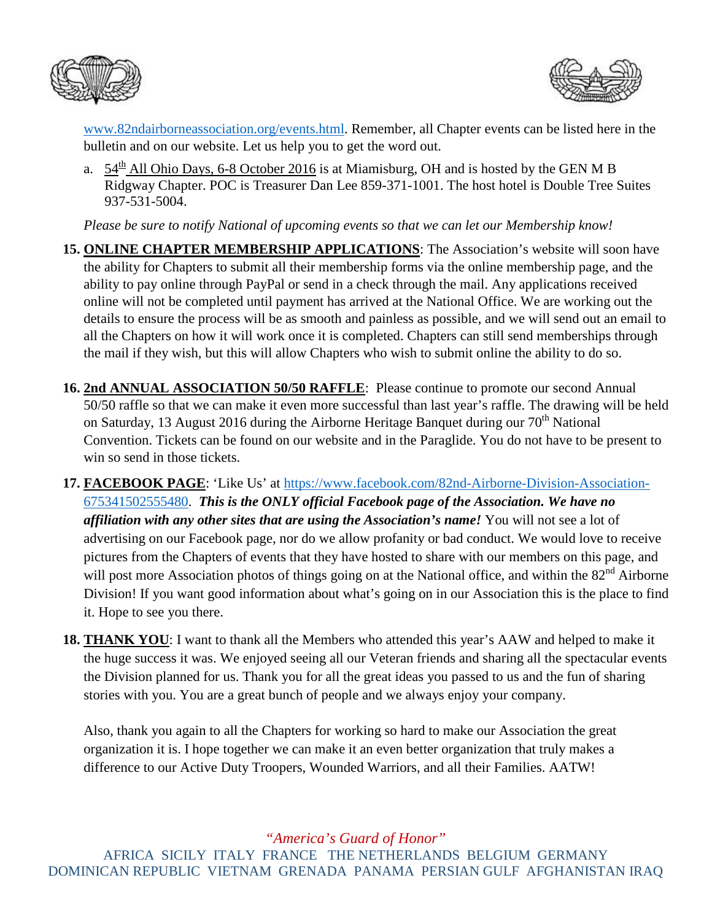



[www.82ndairborneassociation.org/events.html.](http://www.82ndairborneassociation.org/events.html) Remember, all Chapter events can be listed here in the bulletin and on our website. Let us help you to get the word out.

a.  $54<sup>th</sup>$  All Ohio Days, 6-8 October 2016 is at Miamisburg, OH and is hosted by the GEN M B Ridgway Chapter. POC is Treasurer Dan Lee 859-371-1001. The host hotel is Double Tree Suites 937-531-5004.

*Please be sure to notify National of upcoming events so that we can let our Membership know!*

- **15. ONLINE CHAPTER MEMBERSHIP APPLICATIONS**: The Association's website will soon have the ability for Chapters to submit all their membership forms via the online membership page, and the ability to pay online through PayPal or send in a check through the mail. Any applications received online will not be completed until payment has arrived at the National Office. We are working out the details to ensure the process will be as smooth and painless as possible, and we will send out an email to all the Chapters on how it will work once it is completed. Chapters can still send memberships through the mail if they wish, but this will allow Chapters who wish to submit online the ability to do so.
- **16. 2nd ANNUAL ASSOCIATION 50/50 RAFFLE**: Please continue to promote our second Annual 50/50 raffle so that we can make it even more successful than last year's raffle. The drawing will be held on Saturday, 13 August 2016 during the Airborne Heritage Banquet during our 70<sup>th</sup> National Convention. Tickets can be found on our website and in the Paraglide. You do not have to be present to win so send in those tickets.
- **17. FACEBOOK PAGE**: 'Like Us' at [https://www.facebook.com/82nd-Airborne-Division-Association-](https://www.facebook.com/82nd-Airborne-Division-Association-675341502555480)[675341502555480.](https://www.facebook.com/82nd-Airborne-Division-Association-675341502555480) *This is the ONLY official Facebook page of the Association. We have no affiliation with any other sites that are using the Association's name!* You will not see a lot of advertising on our Facebook page, nor do we allow profanity or bad conduct. We would love to receive pictures from the Chapters of events that they have hosted to share with our members on this page, and will post more Association photos of things going on at the National office, and within the 82<sup>nd</sup> Airborne Division! If you want good information about what's going on in our Association this is the place to find it. Hope to see you there.
- **18. THANK YOU**: I want to thank all the Members who attended this year's AAW and helped to make it the huge success it was. We enjoyed seeing all our Veteran friends and sharing all the spectacular events the Division planned for us. Thank you for all the great ideas you passed to us and the fun of sharing stories with you. You are a great bunch of people and we always enjoy your company.

Also, thank you again to all the Chapters for working so hard to make our Association the great organization it is. I hope together we can make it an even better organization that truly makes a difference to our Active Duty Troopers, Wounded Warriors, and all their Families. AATW!

*"America's Guard of Honor"*